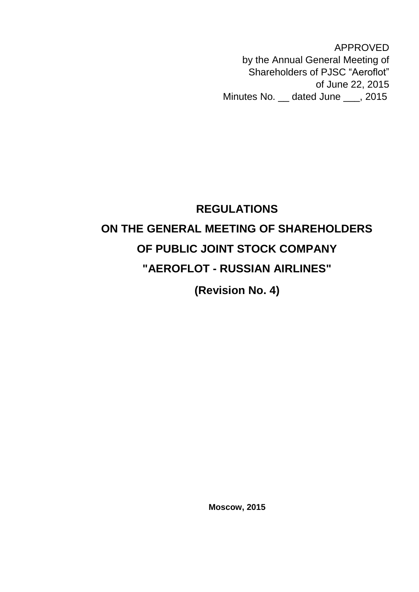APPROVED by the Annual General Meeting of Shareholders of PJSC "Aeroflot" of June 22, 2015 Minutes No. \_\_ dated June \_\_\_, 2015

# **REGULATIONS ON THE GENERAL MEETING OF SHAREHOLDERS OF PUBLIC JOINT STOCK COMPANY "AEROFLOT - RUSSIAN AIRLINES"**

**(Revision No. 4)** 

**Moscow, 2015**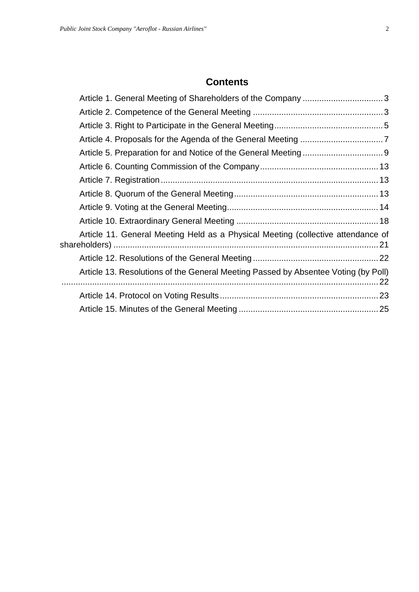### **Contents**

| Article 1. General Meeting of Shareholders of the Company 3                        |  |
|------------------------------------------------------------------------------------|--|
|                                                                                    |  |
|                                                                                    |  |
|                                                                                    |  |
|                                                                                    |  |
|                                                                                    |  |
|                                                                                    |  |
|                                                                                    |  |
|                                                                                    |  |
|                                                                                    |  |
| Article 11. General Meeting Held as a Physical Meeting (collective attendance of   |  |
|                                                                                    |  |
| Article 13. Resolutions of the General Meeting Passed by Absentee Voting (by Poll) |  |
|                                                                                    |  |
|                                                                                    |  |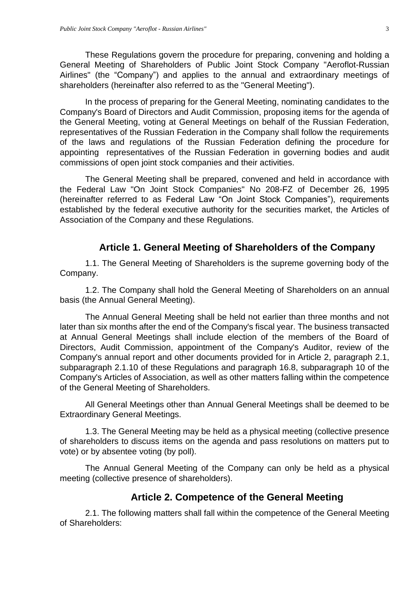These Regulations govern the procedure for preparing, convening and holding a General Meeting of Shareholders of Public Joint Stock Company "Aeroflot-Russian Airlines" (the "Company") and applies to the annual and extraordinary meetings of shareholders (hereinafter also referred to as the "General Meeting").

In the process of preparing for the General Meeting, nominating candidates to the Company's Board of Directors and Audit Commission, proposing items for the agenda of the General Meeting, voting at General Meetings on behalf of the Russian Federation, representatives of the Russian Federation in the Company shall follow the requirements of the laws and regulations of the Russian Federation defining the procedure for appointing representatives of the Russian Federation in governing bodies and audit commissions of open joint stock companies and their activities.

The General Meeting shall be prepared, convened and held in accordance with the Federal Law "On Joint Stock Companies" No 208-FZ of December 26, 1995 (hereinafter referred to as Federal Law "On Joint Stock Companies"), requirements established by the federal executive authority for the securities market, the Articles of Association of the Company and these Regulations.

#### **Article 1. General Meeting of Shareholders of the Company**

<span id="page-2-0"></span>1.1. The General Meeting of Shareholders is the supreme governing body of the Company.

1.2. The Company shall hold the General Meeting of Shareholders on an annual basis (the Annual General Meeting).

The Annual General Meeting shall be held not earlier than three months and not later than six months after the end of the Company's fiscal year. The business transacted at Annual General Meetings shall include election of the members of the Board of Directors, Audit Commission, appointment of the Company's Auditor, review of the Company's annual report and other documents provided for in Article 2, paragraph 2.1, subparagraph 2.1.10 of these Regulations and paragraph 16.8, subparagraph 10 of the Company's Articles of Association, as well as other matters falling within the competence of the General Meeting of Shareholders.

All General Meetings other than Annual General Meetings shall be deemed to be Extraordinary General Meetings.

1.3. The General Meeting may be held as a physical meeting (collective presence of shareholders to discuss items on the agenda and pass resolutions on matters put to vote) or by absentee voting (by poll).

The Annual General Meeting of the Company can only be held as a physical meeting (collective presence of shareholders).

#### **Article 2. Competence of the General Meeting**

<span id="page-2-1"></span>2.1. The following matters shall fall within the competence of the General Meeting of Shareholders: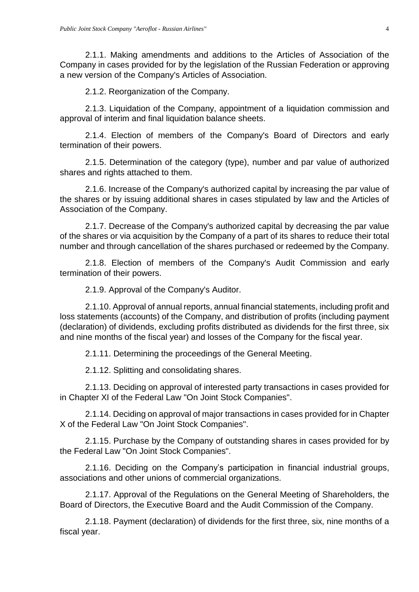2.1.1. Making amendments and additions to the Articles of Association of the Company in cases provided for by the legislation of the Russian Federation or approving a new version of the Company's Articles of Association.

2.1.2. Reorganization of the Company.

2.1.3. Liquidation of the Company, appointment of a liquidation commission and approval of interim and final liquidation balance sheets.

2.1.4. Election of members of the Company's Board of Directors and early termination of their powers.

2.1.5. Determination of the category (type), number and par value of authorized shares and rights attached to them.

2.1.6. Increase of the Company's authorized capital by increasing the par value of the shares or by issuing additional shares in cases stipulated by law and the Articles of Association of the Company.

2.1.7. Decrease of the Company's authorized capital by decreasing the par value of the shares or via acquisition by the Company of a part of its shares to reduce their total number and through cancellation of the shares purchased or redeemed by the Company.

2.1.8. Election of members of the Company's Audit Commission and early termination of their powers.

2.1.9. Approval of the Company's Auditor.

2.1.10. Approval of annual reports, annual financial statements, including profit and loss statements (accounts) of the Company, and distribution of profits (including payment (declaration) of dividends, excluding profits distributed as dividends for the first three, six and nine months of the fiscal year) and losses of the Company for the fiscal year.

2.1.11. Determining the proceedings of the General Meeting.

2.1.12. Splitting and consolidating shares.

2.1.13. Deciding on approval of interested party transactions in cases provided for in Chapter XI of the Federal Law "On Joint Stock Companies".

2.1.14. Deciding on approval of major transactions in cases provided for in Chapter X of the Federal Law "On Joint Stock Companies".

2.1.15. Purchase by the Company of outstanding shares in cases provided for by the Federal Law "On Joint Stock Companies".

2.1.16. Deciding on the Company's participation in financial industrial groups, associations and other unions of commercial organizations.

2.1.17. Approval of the Regulations on the General Meeting of Shareholders, the Board of Directors, the Executive Board and the Audit Commission of the Company.

2.1.18. Payment (declaration) of dividends for the first three, six, nine months of a fiscal year.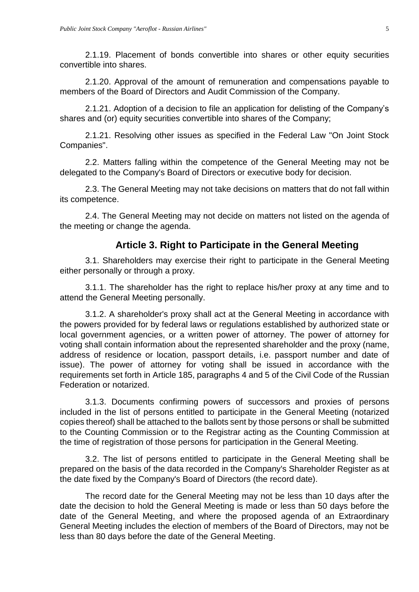2.1.19. Placement of bonds convertible into shares or other equity securities convertible into shares.

2.1.20. Approval of the amount of remuneration and compensations payable to members of the Board of Directors and Audit Commission of the Company.

2.1.21. Adoption of a decision to file an application for delisting of the Company's shares and (or) equity securities convertible into shares of the Company;

2.1.21. Resolving other issues as specified in the Federal Law "On Joint Stock Companies".

2.2. Matters falling within the competence of the General Meeting may not be delegated to the Company's Board of Directors or executive body for decision.

2.3. The General Meeting may not take decisions on matters that do not fall within its competence.

2.4. The General Meeting may not decide on matters not listed on the agenda of the meeting or change the agenda.

#### **Article 3. Right to Participate in the General Meeting**

<span id="page-4-0"></span>3.1. Shareholders may exercise their right to participate in the General Meeting either personally or through a proxy.

3.1.1. The shareholder has the right to replace his/her proxy at any time and to attend the General Meeting personally.

3.1.2. A shareholder's proxy shall act at the General Meeting in accordance with the powers provided for by federal laws or regulations established by authorized state or local government agencies, or a written power of attorney. The power of attorney for voting shall contain information about the represented shareholder and the proxy (name, address of residence or location, passport details, i.e. passport number and date of issue). The power of attorney for voting shall be issued in accordance with the requirements set forth in Article 185, paragraphs 4 and 5 of the Civil Code of the Russian Federation or notarized.

3.1.3. Documents confirming powers of successors and proxies of persons included in the list of persons entitled to participate in the General Meeting (notarized copies thereof) shall be attached to the ballots sent by those persons or shall be submitted to the Counting Commission or to the Registrar acting as the Counting Commission at the time of registration of those persons for participation in the General Meeting.

3.2. The list of persons entitled to participate in the General Meeting shall be prepared on the basis of the data recorded in the Company's Shareholder Register as at the date fixed by the Company's Board of Directors (the record date).

The record date for the General Meeting may not be less than 10 days after the date the decision to hold the General Meeting is made or less than 50 days before the date of the General Meeting, and where the proposed agenda of an Extraordinary General Meeting includes the election of members of the Board of Directors, may not be less than 80 days before the date of the General Meeting.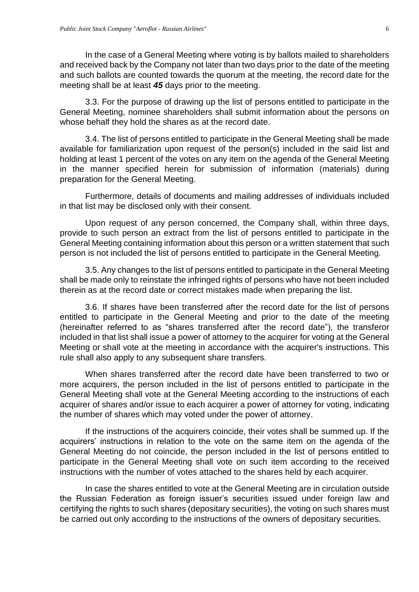In the case of a General Meeting where voting is by ballots mailed to shareholders and received back by the Company not later than two days prior to the date of the meeting and such ballots are counted towards the quorum at the meeting, the record date for the meeting shall be at least *45* days prior to the meeting.

3.3. For the purpose of drawing up the list of persons entitled to participate in the General Meeting, nominee shareholders shall submit information about the persons on whose behalf they hold the shares as at the record date.

3.4. The list of persons entitled to participate in the General Meeting shall be made available for familiarization upon request of the person(s) included in the said list and holding at least 1 percent of the votes on any item on the agenda of the General Meeting in the manner specified herein for submission of information (materials) during preparation for the General Meeting.

Furthermore, details of documents and mailing addresses of individuals included in that list may be disclosed only with their consent.

Upon request of any person concerned, the Company shall, within three days, provide to such person an extract from the list of persons entitled to participate in the General Meeting containing information about this person or a written statement that such person is not included the list of persons entitled to participate in the General Meeting.

3.5. Any changes to the list of persons entitled to participate in the General Meeting shall be made only to reinstate the infringed rights of persons who have not been included therein as at the record date or correct mistakes made when preparing the list.

3.6. If shares have been transferred after the record date for the list of persons entitled to participate in the General Meeting and prior to the date of the meeting (hereinafter referred to as "shares transferred after the record date"), the transferor included in that list shall issue a power of attorney to the acquirer for voting at the General Meeting or shall vote at the meeting in accordance with the acquirer's instructions. This rule shall also apply to any subsequent share transfers.

When shares transferred after the record date have been transferred to two or more acquirers, the person included in the list of persons entitled to participate in the General Meeting shall vote at the General Meeting according to the instructions of each acquirer of shares and/or issue to each acquirer a power of attorney for voting, indicating the number of shares which may voted under the power of attorney.

If the instructions of the acquirers coincide, their votes shall be summed up. If the acquirers' instructions in relation to the vote on the same item on the agenda of the General Meeting do not coincide, the person included in the list of persons entitled to participate in the General Meeting shall vote on such item according to the received instructions with the number of votes attached to the shares held by each acquirer.

In case the shares entitled to vote at the General Meeting are in circulation outside the Russian Federation as foreign issuer's securities issued under foreign law and certifying the rights to such shares (depositary securities), the voting on such shares must be carried out only according to the instructions of the owners of depositary securities.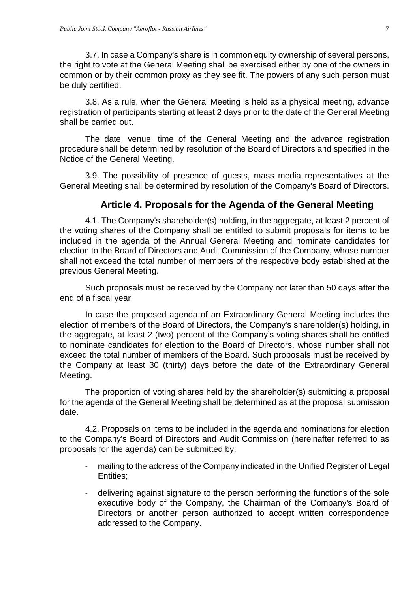3.7. In case a Company's share is in common equity ownership of several persons, the right to vote at the General Meeting shall be exercised either by one of the owners in common or by their common proxy as they see fit. The powers of any such person must be duly certified.

3.8. As a rule, when the General Meeting is held as a physical meeting, advance registration of participants starting at least 2 days prior to the date of the General Meeting shall be carried out.

The date, venue, time of the General Meeting and the advance registration procedure shall be determined by resolution of the Board of Directors and specified in the Notice of the General Meeting.

3.9. The possibility of presence of guests, mass media representatives at the General Meeting shall be determined by resolution of the Company's Board of Directors.

### **Article 4. Proposals for the Agenda of the General Meeting**

<span id="page-6-0"></span>4.1. The Company's shareholder(s) holding, in the aggregate, at least 2 percent of the voting shares of the Company shall be entitled to submit proposals for items to be included in the agenda of the Annual General Meeting and nominate candidates for election to the Board of Directors and Audit Commission of the Company, whose number shall not exceed the total number of members of the respective body established at the previous General Meeting.

Such proposals must be received by the Company not later than 50 days after the end of a fiscal year.

In case the proposed agenda of an Extraordinary General Meeting includes the election of members of the Board of Directors, the Company's shareholder(s) holding, in the aggregate, at least 2 (two) percent of the Company's voting shares shall be entitled to nominate candidates for election to the Board of Directors, whose number shall not exceed the total number of members of the Board. Such proposals must be received by the Company at least 30 (thirty) days before the date of the Extraordinary General Meeting.

The proportion of voting shares held by the shareholder(s) submitting a proposal for the agenda of the General Meeting shall be determined as at the proposal submission date.

4.2. Proposals on items to be included in the agenda and nominations for election to the Company's Board of Directors and Audit Commission (hereinafter referred to as proposals for the agenda) can be submitted by:

- mailing to the address of the Company indicated in the Unified Register of Legal Entities;
- delivering against signature to the person performing the functions of the sole executive body of the Company, the Chairman of the Company's Board of Directors or another person authorized to accept written correspondence addressed to the Company.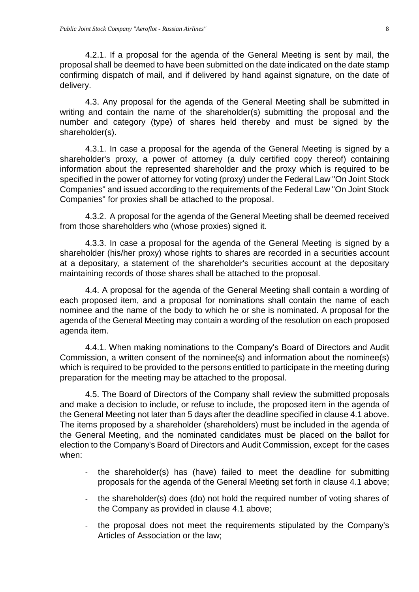4.2.1. If a proposal for the agenda of the General Meeting is sent by mail, the proposal shall be deemed to have been submitted on the date indicated on the date stamp confirming dispatch of mail, and if delivered by hand against signature, on the date of delivery.

4.3. Any proposal for the agenda of the General Meeting shall be submitted in writing and contain the name of the shareholder(s) submitting the proposal and the number and category (type) of shares held thereby and must be signed by the shareholder(s).

4.3.1. In case a proposal for the agenda of the General Meeting is signed by a shareholder's proxy, a power of attorney (a duly certified copy thereof) containing information about the represented shareholder and the proxy which is required to be specified in the power of attorney for voting (proxy) under the Federal Law "On Joint Stock Companies" and issued according to the requirements of the Federal Law "On Joint Stock Companies" for proxies shall be attached to the proposal.

4.3.2. A proposal for the agenda of the General Meeting shall be deemed received from those shareholders who (whose proxies) signed it.

4.3.3. In case a proposal for the agenda of the General Meeting is signed by a shareholder (his/her proxy) whose rights to shares are recorded in a securities account at a depositary, a statement of the shareholder's securities account at the depositary maintaining records of those shares shall be attached to the proposal.

4.4. A proposal for the agenda of the General Meeting shall contain a wording of each proposed item, and a proposal for nominations shall contain the name of each nominee and the name of the body to which he or she is nominated. A proposal for the agenda of the General Meeting may contain a wording of the resolution on each proposed agenda item.

4.4.1. When making nominations to the Company's Board of Directors and Audit Commission, a written consent of the nominee(s) and information about the nominee(s) which is required to be provided to the persons entitled to participate in the meeting during preparation for the meeting may be attached to the proposal.

4.5. The Board of Directors of the Company shall review the submitted proposals and make a decision to include, or refuse to include, the proposed item in the agenda of the General Meeting not later than 5 days after the deadline specified in clause 4.1 above. The items proposed by a shareholder (shareholders) must be included in the agenda of the General Meeting, and the nominated candidates must be placed on the ballot for election to the Company's Board of Directors and Audit Commission, except for the cases when:

- the shareholder(s) has (have) failed to meet the deadline for submitting proposals for the agenda of the General Meeting set forth in clause 4.1 above;
- the shareholder(s) does (do) not hold the required number of voting shares of the Company as provided in clause 4.1 above;
- the proposal does not meet the requirements stipulated by the Company's Articles of Association or the law;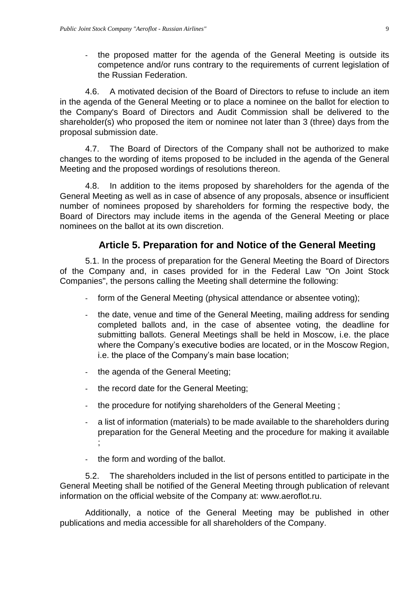- the proposed matter for the agenda of the General Meeting is outside its competence and/or runs contrary to the requirements of current legislation of the Russian Federation.

4.6. A motivated decision of the Board of Directors to refuse to include an item in the agenda of the General Meeting or to place a nominee on the ballot for election to the Company's Board of Directors and Audit Commission shall be delivered to the shareholder(s) who proposed the item or nominee not later than 3 (three) days from the proposal submission date.

4.7. The Board of Directors of the Company shall not be authorized to make changes to the wording of items proposed to be included in the agenda of the General Meeting and the proposed wordings of resolutions thereon.

4.8. In addition to the items proposed by shareholders for the agenda of the General Meeting as well as in case of absence of any proposals, absence or insufficient number of nominees proposed by shareholders for forming the respective body, the Board of Directors may include items in the agenda of the General Meeting or place nominees on the ballot at its own discretion.

### **Article 5. Preparation for and Notice of the General Meeting**

<span id="page-8-0"></span>5.1. In the process of preparation for the General Meeting the Board of Directors of the Company and, in cases provided for in the Federal Law "On Joint Stock Companies", the persons calling the Meeting shall determine the following:

- form of the General Meeting (physical attendance or absentee voting);
- the date, venue and time of the General Meeting, mailing address for sending completed ballots and, in the case of absentee voting, the deadline for submitting ballots. General Meetings shall be held in Moscow, i.e. the place where the Company's executive bodies are located, or in the Moscow Region, i.e. the place of the Company's main base location;
- the agenda of the General Meeting;
- the record date for the General Meeting;
- the procedure for notifying shareholders of the General Meeting;
- a list of information (materials) to be made available to the shareholders during preparation for the General Meeting and the procedure for making it available ;
- the form and wording of the ballot.

5.2. The shareholders included in the list of persons entitled to participate in the General Meeting shall be notified of the General Meeting through publication of relevant information on the official website of the Company at: www.aeroflot.ru.

Additionally, a notice of the General Meeting may be published in other publications and media accessible for all shareholders of the Company.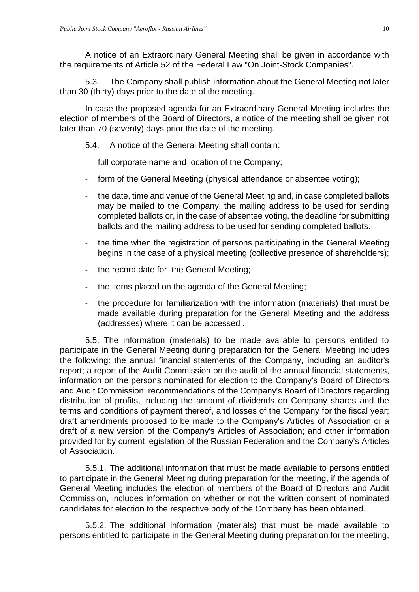A notice of an Extraordinary General Meeting shall be given in accordance with the requirements of Article 52 of the Federal Law "On Joint-Stock Companies".

5.3. The Company shall publish information about the General Meeting not later than 30 (thirty) days prior to the date of the meeting.

In case the proposed agenda for an Extraordinary General Meeting includes the election of members of the Board of Directors, a notice of the meeting shall be given not later than 70 (seventy) days prior the date of the meeting.

5.4. A notice of the General Meeting shall contain:

- full corporate name and location of the Company;
- form of the General Meeting (physical attendance or absentee voting);
- the date, time and venue of the General Meeting and, in case completed ballots may be mailed to the Company, the mailing address to be used for sending completed ballots or, in the case of absentee voting, the deadline for submitting ballots and the mailing address to be used for sending completed ballots.
- the time when the registration of persons participating in the General Meeting begins in the case of a physical meeting (collective presence of shareholders);
- the record date for the General Meeting;
- the items placed on the agenda of the General Meeting;
- the procedure for familiarization with the information (materials) that must be made available during preparation for the General Meeting and the address (addresses) where it can be accessed .

5.5. The information (materials) to be made available to persons entitled to participate in the General Meeting during preparation for the General Meeting includes the following: the annual financial statements of the Company, including an auditor's report; a report of the Audit Commission on the audit of the annual financial statements, information on the persons nominated for election to the Company's Board of Directors and Audit Commission; recommendations of the Company's Board of Directors regarding distribution of profits, including the amount of dividends on Company shares and the terms and conditions of payment thereof, and losses of the Company for the fiscal year; draft amendments proposed to be made to the Company's Articles of Association or a draft of a new version of the Company's Articles of Association; and other information provided for by current legislation of the Russian Federation and the Company's Articles of Association.

5.5.1. The additional information that must be made available to persons entitled to participate in the General Meeting during preparation for the meeting, if the agenda of General Meeting includes the election of members of the Board of Directors and Audit Commission, includes information on whether or not the written consent of nominated candidates for election to the respective body of the Company has been obtained.

5.5.2. The additional information (materials) that must be made available to persons entitled to participate in the General Meeting during preparation for the meeting,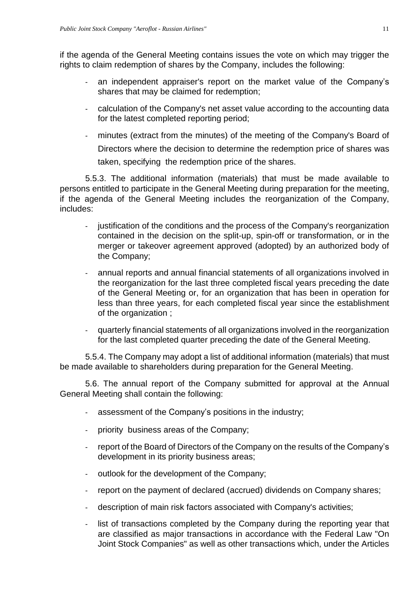if the agenda of the General Meeting contains issues the vote on which may trigger the rights to claim redemption of shares by the Company, includes the following:

- an independent appraiser's report on the market value of the Company's shares that may be claimed for redemption;
- calculation of the Company's net asset value according to the accounting data for the latest completed reporting period;
- minutes (extract from the minutes) of the meeting of the Company's Board of Directors where the decision to determine the redemption price of shares was taken, specifying the redemption price of the shares.

5.5.3. The additional information (materials) that must be made available to persons entitled to participate in the General Meeting during preparation for the meeting, if the agenda of the General Meeting includes the reorganization of the Company, includes:

- justification of the conditions and the process of the Company's reorganization contained in the decision on the split-up, spin-off or transformation, or in the merger or takeover agreement approved (adopted) by an authorized body of the Company;
- annual reports and annual financial statements of all organizations involved in the reorganization for the last three completed fiscal years preceding the date of the General Meeting or, for an organization that has been in operation for less than three years, for each completed fiscal year since the establishment of the organization ;
- quarterly financial statements of all organizations involved in the reorganization for the last completed quarter preceding the date of the General Meeting.

5.5.4. The Company may adopt a list of additional information (materials) that must be made available to shareholders during preparation for the General Meeting.

5.6. The annual report of the Company submitted for approval at the Annual General Meeting shall contain the following:

- assessment of the Company's positions in the industry;
- priority business areas of the Company;
- report of the Board of Directors of the Company on the results of the Company's development in its priority business areas;
- outlook for the development of the Company;
- report on the payment of declared (accrued) dividends on Company shares;
- description of main risk factors associated with Company's activities;
- list of transactions completed by the Company during the reporting year that are classified as major transactions in accordance with the Federal Law "On Joint Stock Companies" as well as other transactions which, under the Articles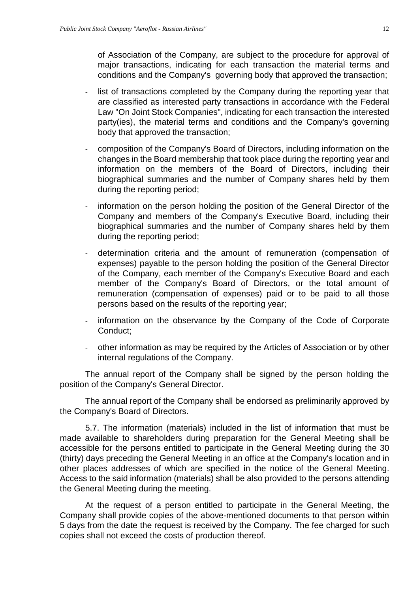of Association of the Company, are subject to the procedure for approval of major transactions, indicating for each transaction the material terms and conditions and the Company's governing body that approved the transaction;

- list of transactions completed by the Company during the reporting year that are classified as interested party transactions in accordance with the Federal Law "On Joint Stock Companies", indicating for each transaction the interested party(ies), the material terms and conditions and the Company's governing body that approved the transaction;
- composition of the Company's Board of Directors, including information on the changes in the Board membership that took place during the reporting year and information on the members of the Board of Directors, including their biographical summaries and the number of Company shares held by them during the reporting period;
- information on the person holding the position of the General Director of the Company and members of the Company's Executive Board, including their biographical summaries and the number of Company shares held by them during the reporting period;
- determination criteria and the amount of remuneration (compensation of expenses) payable to the person holding the position of the General Director of the Company, each member of the Company's Executive Board and each member of the Company's Board of Directors, or the total amount of remuneration (compensation of expenses) paid or to be paid to all those persons based on the results of the reporting year;
- information on the observance by the Company of the Code of Corporate Conduct;
- other information as may be required by the Articles of Association or by other internal regulations of the Company.

The annual report of the Company shall be signed by the person holding the position of the Company's General Director.

The annual report of the Company shall be endorsed as preliminarily approved by the Company's Board of Directors.

5.7. The information (materials) included in the list of information that must be made available to shareholders during preparation for the General Meeting shall be accessible for the persons entitled to participate in the General Meeting during the 30 (thirty) days preceding the General Meeting in an office at the Company's location and in other places addresses of which are specified in the notice of the General Meeting. Access to the said information (materials) shall be also provided to the persons attending the General Meeting during the meeting.

At the request of a person entitled to participate in the General Meeting, the Company shall provide copies of the above-mentioned documents to that person within 5 days from the date the request is received by the Company. The fee charged for such copies shall not exceed the costs of production thereof.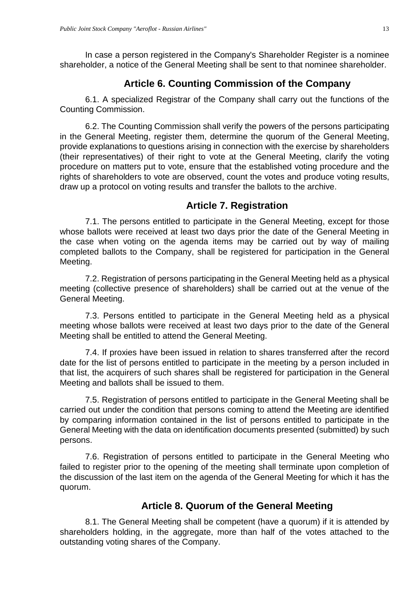In case a person registered in the Company's Shareholder Register is a nominee shareholder, a notice of the General Meeting shall be sent to that nominee shareholder.

## **Article 6. Counting Commission of the Company**

<span id="page-12-0"></span>6.1. A specialized Registrar of the Company shall carry out the functions of the Counting Commission.

6.2. The Counting Commission shall verify the powers of the persons participating in the General Meeting, register them, determine the quorum of the General Meeting, provide explanations to questions arising in connection with the exercise by shareholders (their representatives) of their right to vote at the General Meeting, clarify the voting procedure on matters put to vote, ensure that the established voting procedure and the rights of shareholders to vote are observed, count the votes and produce voting results, draw up a protocol on voting results and transfer the ballots to the archive.

### **Article 7. Registration**

<span id="page-12-1"></span>7.1. The persons entitled to participate in the General Meeting, except for those whose ballots were received at least two days prior the date of the General Meeting in the case when voting on the agenda items may be carried out by way of mailing completed ballots to the Company, shall be registered for participation in the General Meeting.

7.2. Registration of persons participating in the General Meeting held as a physical meeting (collective presence of shareholders) shall be carried out at the venue of the General Meeting.

7.3. Persons entitled to participate in the General Meeting held as a physical meeting whose ballots were received at least two days prior to the date of the General Meeting shall be entitled to attend the General Meeting.

7.4. If proxies have been issued in relation to shares transferred after the record date for the list of persons entitled to participate in the meeting by a person included in that list, the acquirers of such shares shall be registered for participation in the General Meeting and ballots shall be issued to them.

7.5. Registration of persons entitled to participate in the General Meeting shall be carried out under the condition that persons coming to attend the Meeting are identified by comparing information contained in the list of persons entitled to participate in the General Meeting with the data on identification documents presented (submitted) by such persons.

7.6. Registration of persons entitled to participate in the General Meeting who failed to register prior to the opening of the meeting shall terminate upon completion of the discussion of the last item on the agenda of the General Meeting for which it has the quorum.

### **Article 8. Quorum of the General Meeting**

<span id="page-12-2"></span>8.1. The General Meeting shall be competent (have a quorum) if it is attended by shareholders holding, in the aggregate, more than half of the votes attached to the outstanding voting shares of the Company.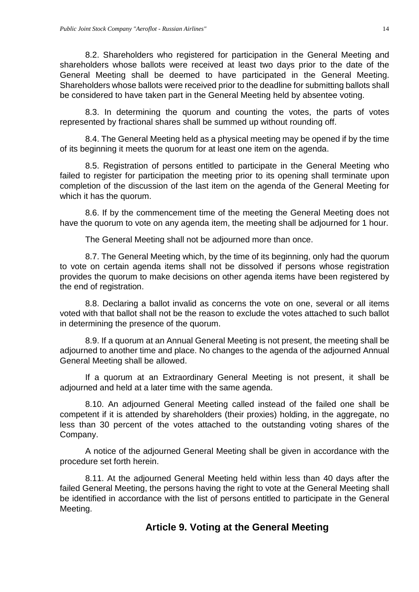8.2. Shareholders who registered for participation in the General Meeting and shareholders whose ballots were received at least two days prior to the date of the General Meeting shall be deemed to have participated in the General Meeting. Shareholders whose ballots were received prior to the deadline for submitting ballots shall be considered to have taken part in the General Meeting held by absentee voting.

8.3. In determining the quorum and counting the votes, the parts of votes represented by fractional shares shall be summed up without rounding off.

8.4. The General Meeting held as a physical meeting may be opened if by the time of its beginning it meets the quorum for at least one item on the agenda.

8.5. Registration of persons entitled to participate in the General Meeting who failed to register for participation the meeting prior to its opening shall terminate upon completion of the discussion of the last item on the agenda of the General Meeting for which it has the quorum.

8.6. If by the commencement time of the meeting the General Meeting does not have the quorum to vote on any agenda item, the meeting shall be adjourned for 1 hour.

The General Meeting shall not be adjourned more than once.

8.7. The General Meeting which, by the time of its beginning, only had the quorum to vote on certain agenda items shall not be dissolved if persons whose registration provides the quorum to make decisions on other agenda items have been registered by the end of registration.

8.8. Declaring a ballot invalid as concerns the vote on one, several or all items voted with that ballot shall not be the reason to exclude the votes attached to such ballot in determining the presence of the quorum.

8.9. If a quorum at an Annual General Meeting is not present, the meeting shall be adjourned to another time and place. No changes to the agenda of the adjourned Annual General Meeting shall be allowed.

If a quorum at an Extraordinary General Meeting is not present, it shall be adjourned and held at a later time with the same agenda.

8.10. An adjourned General Meeting called instead of the failed one shall be competent if it is attended by shareholders (their proxies) holding, in the aggregate, no less than 30 percent of the votes attached to the outstanding voting shares of the Company.

A notice of the adjourned General Meeting shall be given in accordance with the procedure set forth herein.

<span id="page-13-0"></span>8.11. At the adjourned General Meeting held within less than 40 days after the failed General Meeting, the persons having the right to vote at the General Meeting shall be identified in accordance with the list of persons entitled to participate in the General Meeting.

# **Article 9. Voting at the General Meeting**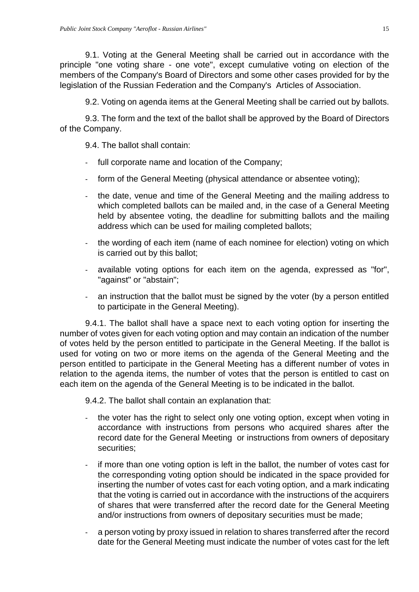9.1. Voting at the General Meeting shall be carried out in accordance with the principle "one voting share - one vote", except cumulative voting on election of the members of the Company's Board of Directors and some other cases provided for by the legislation of the Russian Federation and the Company's Articles of Association.

9.2. Voting on agenda items at the General Meeting shall be carried out by ballots.

9.3. The form and the text of the ballot shall be approved by the Board of Directors of the Company.

9.4. The ballot shall contain:

- full corporate name and location of the Company;
- form of the General Meeting (physical attendance or absentee voting);
- the date, venue and time of the General Meeting and the mailing address to which completed ballots can be mailed and, in the case of a General Meeting held by absentee voting, the deadline for submitting ballots and the mailing address which can be used for mailing completed ballots;
- the wording of each item (name of each nominee for election) voting on which is carried out by this ballot;
- available voting options for each item on the agenda, expressed as "for", "against" or "abstain";
- an instruction that the ballot must be signed by the voter (by a person entitled to participate in the General Meeting).

9.4.1. The ballot shall have a space next to each voting option for inserting the number of votes given for each voting option and may contain an indication of the number of votes held by the person entitled to participate in the General Meeting. If the ballot is used for voting on two or more items on the agenda of the General Meeting and the person entitled to participate in the General Meeting has a different number of votes in relation to the agenda items, the number of votes that the person is entitled to cast on each item on the agenda of the General Meeting is to be indicated in the ballot.

9.4.2. The ballot shall contain an explanation that:

- the voter has the right to select only one voting option, except when voting in accordance with instructions from persons who acquired shares after the record date for the General Meeting or instructions from owners of depositary securities;
- if more than one voting option is left in the ballot, the number of votes cast for the corresponding voting option should be indicated in the space provided for inserting the number of votes cast for each voting option, and a mark indicating that the voting is carried out in accordance with the instructions of the acquirers of shares that were transferred after the record date for the General Meeting and/or instructions from owners of depositary securities must be made;
- a person voting by proxy issued in relation to shares transferred after the record date for the General Meeting must indicate the number of votes cast for the left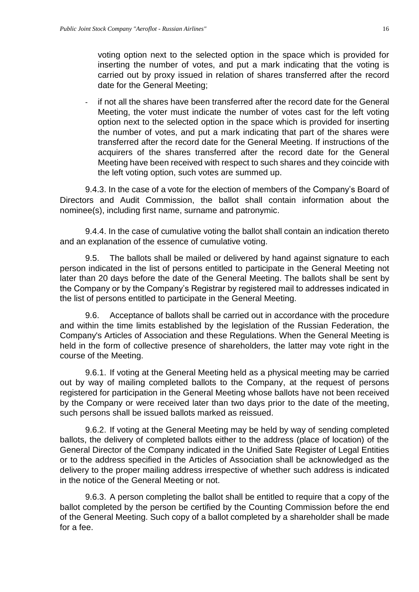voting option next to the selected option in the space which is provided for inserting the number of votes, and put a mark indicating that the voting is carried out by proxy issued in relation of shares transferred after the record date for the General Meeting;

if not all the shares have been transferred after the record date for the General Meeting, the voter must indicate the number of votes cast for the left voting option next to the selected option in the space which is provided for inserting the number of votes, and put a mark indicating that part of the shares were transferred after the record date for the General Meeting. If instructions of the acquirers of the shares transferred after the record date for the General Meeting have been received with respect to such shares and they coincide with the left voting option, such votes are summed up.

9.4.3. In the case of a vote for the election of members of the Company's Board of Directors and Audit Commission, the ballot shall contain information about the nominee(s), including first name, surname and patronymic.

9.4.4. In the case of cumulative voting the ballot shall contain an indication thereto and an explanation of the essence of cumulative voting.

9.5. The ballots shall be mailed or delivered by hand against signature to each person indicated in the list of persons entitled to participate in the General Meeting not later than 20 days before the date of the General Meeting. The ballots shall be sent by the Company or by the Company's Registrar by registered mail to addresses indicated in the list of persons entitled to participate in the General Meeting.

9.6. Acceptance of ballots shall be carried out in accordance with the procedure and within the time limits established by the legislation of the Russian Federation, the Company's Articles of Association and these Regulations. When the General Meeting is held in the form of collective presence of shareholders, the latter may vote right in the course of the Meeting.

9.6.1. If voting at the General Meeting held as a physical meeting may be carried out by way of mailing completed ballots to the Company, at the request of persons registered for participation in the General Meeting whose ballots have not been received by the Company or were received later than two days prior to the date of the meeting, such persons shall be issued ballots marked as reissued.

9.6.2. If voting at the General Meeting may be held by way of sending completed ballots, the delivery of completed ballots either to the address (place of location) of the General Director of the Company indicated in the Unified Sate Register of Legal Entities or to the address specified in the Articles of Association shall be acknowledged as the delivery to the proper mailing address irrespective of whether such address is indicated in the notice of the General Meeting or not.

9.6.3. A person completing the ballot shall be entitled to require that a copy of the ballot completed by the person be certified by the Counting Commission before the end of the General Meeting. Such copy of a ballot completed by a shareholder shall be made for a fee.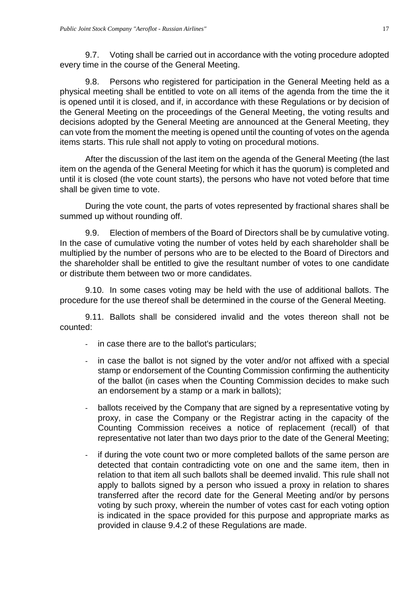9.7. Voting shall be carried out in accordance with the voting procedure adopted every time in the course of the General Meeting.

9.8. Persons who registered for participation in the General Meeting held as a physical meeting shall be entitled to vote on all items of the agenda from the time the it is opened until it is closed, and if, in accordance with these Regulations or by decision of the General Meeting on the proceedings of the General Meeting, the voting results and decisions adopted by the General Meeting are announced at the General Meeting, they can vote from the moment the meeting is opened until the counting of votes on the agenda items starts. This rule shall not apply to voting on procedural motions.

After the discussion of the last item on the agenda of the General Meeting (the last item on the agenda of the General Meeting for which it has the quorum) is completed and until it is closed (the vote count starts), the persons who have not voted before that time shall be given time to vote.

During the vote count, the parts of votes represented by fractional shares shall be summed up without rounding off.

9.9. Election of members of the Board of Directors shall be by cumulative voting. In the case of cumulative voting the number of votes held by each shareholder shall be multiplied by the number of persons who are to be elected to the Board of Directors and the shareholder shall be entitled to give the resultant number of votes to one candidate or distribute them between two or more candidates.

9.10. In some cases voting may be held with the use of additional ballots. The procedure for the use thereof shall be determined in the course of the General Meeting.

9.11. Ballots shall be considered invalid and the votes thereon shall not be counted:

- in case there are to the ballot's particulars;
- in case the ballot is not signed by the voter and/or not affixed with a special stamp or endorsement of the Counting Commission confirming the authenticity of the ballot (in cases when the Counting Commission decides to make such an endorsement by a stamp or a mark in ballots);
- ballots received by the Company that are signed by a representative voting by proxy, in case the Company or the Registrar acting in the capacity of the Counting Commission receives a notice of replacement (recall) of that representative not later than two days prior to the date of the General Meeting;
- if during the vote count two or more completed ballots of the same person are detected that contain contradicting vote on one and the same item, then in relation to that item all such ballots shall be deemed invalid. This rule shall not apply to ballots signed by a person who issued a proxy in relation to shares transferred after the record date for the General Meeting and/or by persons voting by such proxy, wherein the number of votes cast for each voting option is indicated in the space provided for this purpose and appropriate marks as provided in clause 9.4.2 of these Regulations are made.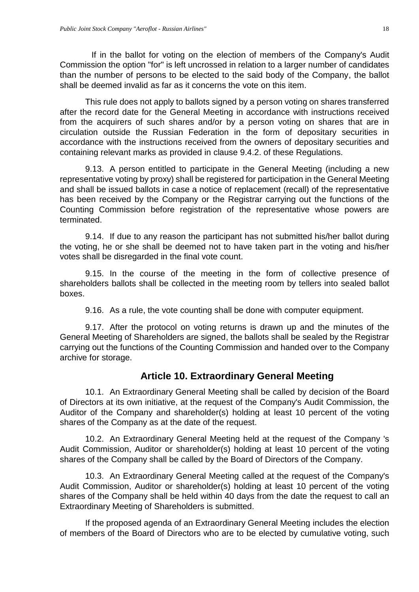If in the ballot for voting on the election of members of the Company's Audit Commission the option "for" is left uncrossed in relation to a larger number of candidates than the number of persons to be elected to the said body of the Company, the ballot shall be deemed invalid as far as it concerns the vote on this item.

This rule does not apply to ballots signed by a person voting on shares transferred after the record date for the General Meeting in accordance with instructions received from the acquirers of such shares and/or by a person voting on shares that are in circulation outside the Russian Federation in the form of depositary securities in accordance with the instructions received from the owners of depositary securities and containing relevant marks as provided in clause 9.4.2. of these Regulations.

9.13. A person entitled to participate in the General Meeting (including a new representative voting by proxy) shall be registered for participation in the General Meeting and shall be issued ballots in case a notice of replacement (recall) of the representative has been received by the Company or the Registrar carrying out the functions of the Counting Commission before registration of the representative whose powers are terminated.

9.14. If due to any reason the participant has not submitted his/her ballot during the voting, he or she shall be deemed not to have taken part in the voting and his/her votes shall be disregarded in the final vote count.

9.15. In the course of the meeting in the form of collective presence of shareholders ballots shall be collected in the meeting room by tellers into sealed ballot boxes.

9.16. As a rule, the vote counting shall be done with computer equipment.

9.17. After the protocol on voting returns is drawn up and the minutes of the General Meeting of Shareholders are signed, the ballots shall be sealed by the Registrar carrying out the functions of the Counting Commission and handed over to the Company archive for storage.

# **Article 10. Extraordinary General Meeting**

<span id="page-17-0"></span>10.1. An Extraordinary General Meeting shall be called by decision of the Board of Directors at its own initiative, at the request of the Company's Audit Commission, the Auditor of the Company and shareholder(s) holding at least 10 percent of the voting shares of the Company as at the date of the request.

10.2. An Extraordinary General Meeting held at the request of the Company 's Audit Commission, Auditor or shareholder(s) holding at least 10 percent of the voting shares of the Company shall be called by the Board of Directors of the Company.

10.3. An Extraordinary General Meeting called at the request of the Company's Audit Commission, Auditor or shareholder(s) holding at least 10 percent of the voting shares of the Company shall be held within 40 days from the date the request to call an Extraordinary Meeting of Shareholders is submitted.

If the proposed agenda of an Extraordinary General Meeting includes the election of members of the Board of Directors who are to be elected by cumulative voting, such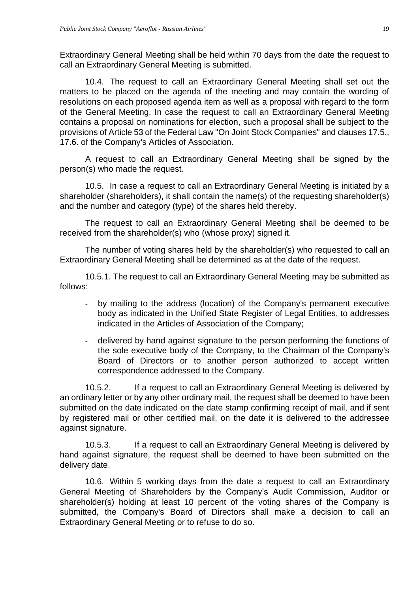Extraordinary General Meeting shall be held within 70 days from the date the request to call an Extraordinary General Meeting is submitted.

10.4. The request to call an Extraordinary General Meeting shall set out the matters to be placed on the agenda of the meeting and may contain the wording of resolutions on each proposed agenda item as well as a proposal with regard to the form of the General Meeting. In case the request to call an Extraordinary General Meeting contains a proposal on nominations for election, such a proposal shall be subject to the provisions of Article 53 of the Federal Law "On Joint Stock Companies" and clauses 17.5., 17.6. of the Company's Articles of Association.

A request to call an Extraordinary General Meeting shall be signed by the person(s) who made the request.

10.5. In case a request to call an Extraordinary General Meeting is initiated by a shareholder (shareholders), it shall contain the name(s) of the requesting shareholder(s) and the number and category (type) of the shares held thereby.

The request to call an Extraordinary General Meeting shall be deemed to be received from the shareholder(s) who (whose proxy) signed it.

The number of voting shares held by the shareholder(s) who requested to call an Extraordinary General Meeting shall be determined as at the date of the request.

10.5.1. The request to call an Extraordinary General Meeting may be submitted as follows:

- by mailing to the address (location) of the Company's permanent executive body as indicated in the Unified State Register of Legal Entities, to addresses indicated in the Articles of Association of the Company;
- delivered by hand against signature to the person performing the functions of the sole executive body of the Company, to the Chairman of the Company's Board of Directors or to another person authorized to accept written correspondence addressed to the Company.

10.5.2. If a request to call an Extraordinary General Meeting is delivered by an ordinary letter or by any other ordinary mail, the request shall be deemed to have been submitted on the date indicated on the date stamp confirming receipt of mail, and if sent by registered mail or other certified mail, on the date it is delivered to the addressee against signature.

10.5.3. If a request to call an Extraordinary General Meeting is delivered by hand against signature, the request shall be deemed to have been submitted on the delivery date.

10.6. Within 5 working days from the date a request to call an Extraordinary General Meeting of Shareholders by the Company's Audit Commission, Auditor or shareholder(s) holding at least 10 percent of the voting shares of the Company is submitted, the Company's Board of Directors shall make a decision to call an Extraordinary General Meeting or to refuse to do so.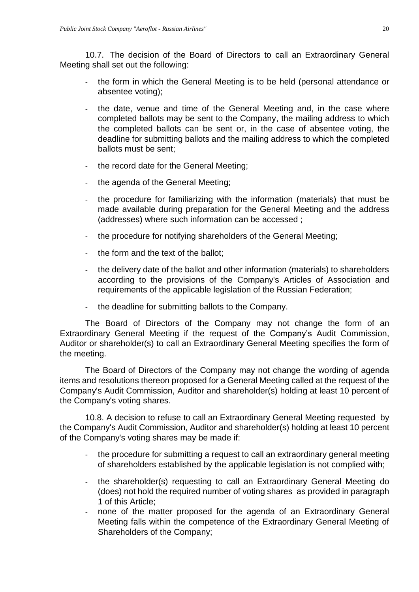10.7. The decision of the Board of Directors to call an Extraordinary General Meeting shall set out the following:

- the form in which the General Meeting is to be held (personal attendance or absentee voting);
- the date, venue and time of the General Meeting and, in the case where completed ballots may be sent to the Company, the mailing address to which the completed ballots can be sent or, in the case of absentee voting, the deadline for submitting ballots and the mailing address to which the completed ballots must be sent;
- the record date for the General Meeting;
- the agenda of the General Meeting;
- the procedure for familiarizing with the information (materials) that must be made available during preparation for the General Meeting and the address (addresses) where such information can be accessed ;
- the procedure for notifying shareholders of the General Meeting;
- the form and the text of the ballot;
- the delivery date of the ballot and other information (materials) to shareholders according to the provisions of the Company's Articles of Association and requirements of the applicable legislation of the Russian Federation;
- the deadline for submitting ballots to the Company.

The Board of Directors of the Company may not change the form of an Extraordinary General Meeting if the request of the Company's Audit Commission, Auditor or shareholder(s) to call an Extraordinary General Meeting specifies the form of the meeting.

The Board of Directors of the Company may not change the wording of agenda items and resolutions thereon proposed for a General Meeting called at the request of the Company's Audit Commission, Auditor and shareholder(s) holding at least 10 percent of the Company's voting shares.

10.8. A decision to refuse to call an Extraordinary General Meeting requested by the Company's Audit Commission, Auditor and shareholder(s) holding at least 10 percent of the Company's voting shares may be made if:

- the procedure for submitting a request to call an extraordinary general meeting of shareholders established by the applicable legislation is not complied with;
- the shareholder(s) requesting to call an Extraordinary General Meeting do (does) not hold the required number of voting shares as provided in paragraph 1 of this Article;
- none of the matter proposed for the agenda of an Extraordinary General Meeting falls within the competence of the Extraordinary General Meeting of Shareholders of the Company;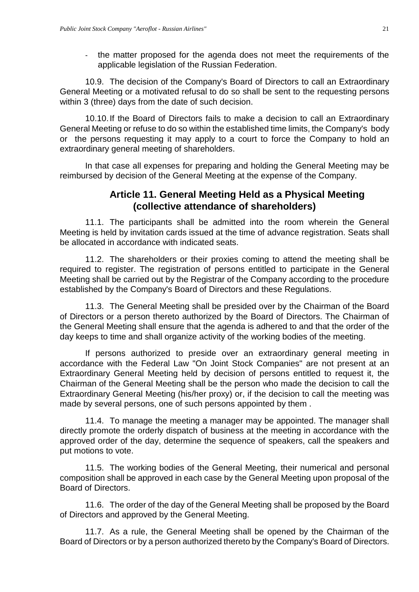- the matter proposed for the agenda does not meet the requirements of the applicable legislation of the Russian Federation.

10.9. The decision of the Company's Board of Directors to call an Extraordinary General Meeting or a motivated refusal to do so shall be sent to the requesting persons within 3 (three) days from the date of such decision.

10.10.If the Board of Directors fails to make a decision to call an Extraordinary General Meeting or refuse to do so within the established time limits, the Company's body or the persons requesting it may apply to a court to force the Company to hold an extraordinary general meeting of shareholders.

<span id="page-20-0"></span>In that case all expenses for preparing and holding the General Meeting may be reimbursed by decision of the General Meeting at the expense of the Company.

### **Article 11. General Meeting Held as a Physical Meeting (collective attendance of shareholders)**

11.1. The participants shall be admitted into the room wherein the General Meeting is held by invitation cards issued at the time of advance registration. Seats shall be allocated in accordance with indicated seats.

11.2. The shareholders or their proxies coming to attend the meeting shall be required to register. The registration of persons entitled to participate in the General Meeting shall be carried out by the Registrar of the Company according to the procedure established by the Company's Board of Directors and these Regulations.

11.3. The General Meeting shall be presided over by the Chairman of the Board of Directors or a person thereto authorized by the Board of Directors. The Chairman of the General Meeting shall ensure that the agenda is adhered to and that the order of the day keeps to time and shall organize activity of the working bodies of the meeting.

If persons authorized to preside over an extraordinary general meeting in accordance with the Federal Law "On Joint Stock Companies" are not present at an Extraordinary General Meeting held by decision of persons entitled to request it, the Chairman of the General Meeting shall be the person who made the decision to call the Extraordinary General Meeting (his/her proxy) or, if the decision to call the meeting was made by several persons, one of such persons appointed by them .

11.4. To manage the meeting a manager may be appointed. The manager shall directly promote the orderly dispatch of business at the meeting in accordance with the approved order of the day, determine the sequence of speakers, call the speakers and put motions to vote.

11.5. The working bodies of the General Meeting, their numerical and personal composition shall be approved in each case by the General Meeting upon proposal of the Board of Directors.

11.6. The order of the day of the General Meeting shall be proposed by the Board of Directors and approved by the General Meeting.

11.7. As a rule, the General Meeting shall be opened by the Chairman of the Board of Directors or by a person authorized thereto by the Company's Board of Directors.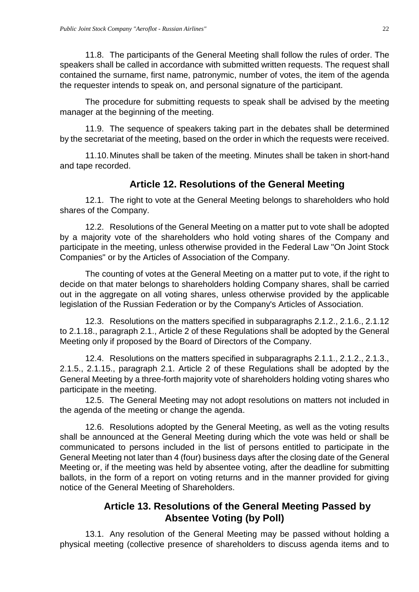11.8. The participants of the General Meeting shall follow the rules of order. The speakers shall be called in accordance with submitted written requests. The request shall contained the surname, first name, patronymic, number of votes, the item of the agenda the requester intends to speak on, and personal signature of the participant.

The procedure for submitting requests to speak shall be advised by the meeting manager at the beginning of the meeting.

11.9. The sequence of speakers taking part in the debates shall be determined by the secretariat of the meeting, based on the order in which the requests were received.

11.10.Minutes shall be taken of the meeting. Minutes shall be taken in short-hand and tape recorded.

### **Article 12. Resolutions of the General Meeting**

<span id="page-21-0"></span>12.1. The right to vote at the General Meeting belongs to shareholders who hold shares of the Company.

12.2. Resolutions of the General Meeting on a matter put to vote shall be adopted by a majority vote of the shareholders who hold voting shares of the Company and participate in the meeting, unless otherwise provided in the Federal Law "On Joint Stock Companies" or by the Articles of Association of the Company.

The counting of votes at the General Meeting on a matter put to vote, if the right to decide on that mater belongs to shareholders holding Company shares, shall be carried out in the aggregate on all voting shares, unless otherwise provided by the applicable legislation of the Russian Federation or by the Company's Articles of Association.

12.3. Resolutions on the matters specified in subparagraphs 2.1.2., 2.1.6., 2.1.12 to 2.1.18., paragraph 2.1., Article 2 of these Regulations shall be adopted by the General Meeting only if proposed by the Board of Directors of the Company.

12.4. Resolutions on the matters specified in subparagraphs 2.1.1., 2.1.2., 2.1.3., 2.1.5., 2.1.15., paragraph 2.1. Article 2 of these Regulations shall be adopted by the General Meeting by a three-forth majority vote of shareholders holding voting shares who participate in the meeting.

12.5. The General Meeting may not adopt resolutions on matters not included in the agenda of the meeting or change the agenda.

12.6. Resolutions adopted by the General Meeting, as well as the voting results shall be announced at the General Meeting during which the vote was held or shall be communicated to persons included in the list of persons entitled to participate in the General Meeting not later than 4 (four) business days after the closing date of the General Meeting or, if the meeting was held by absentee voting, after the deadline for submitting ballots, in the form of a report on voting returns and in the manner provided for giving notice of the General Meeting of Shareholders.

## **Article 13. Resolutions of the General Meeting Passed by Absentee Voting (by Poll)**

<span id="page-21-1"></span>13.1. Any resolution of the General Meeting may be passed without holding a physical meeting (collective presence of shareholders to discuss agenda items and to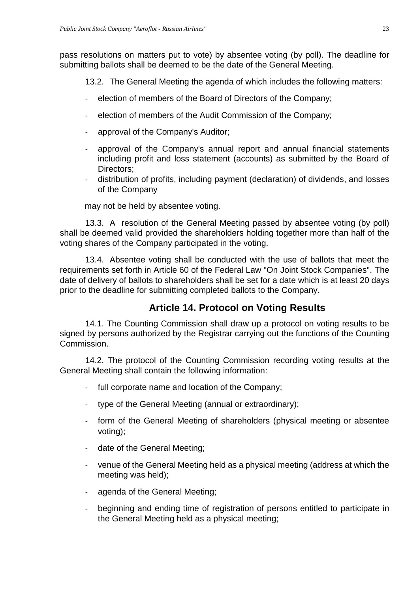pass resolutions on matters put to vote) by absentee voting (by poll). The deadline for submitting ballots shall be deemed to be the date of the General Meeting.

13.2. The General Meeting the agenda of which includes the following matters:

- election of members of the Board of Directors of the Company;
- election of members of the Audit Commission of the Company;
- approval of the Company's Auditor;
- approval of the Company's annual report and annual financial statements including profit and loss statement (accounts) as submitted by the Board of Directors;
- distribution of profits, including payment (declaration) of dividends, and losses of the Company

may not be held by absentee voting.

13.3. A resolution of the General Meeting passed by absentee voting (by poll) shall be deemed valid provided the shareholders holding together more than half of the voting shares of the Company participated in the voting.

13.4. Absentee voting shall be conducted with the use of ballots that meet the requirements set forth in Article 60 of the Federal Law "On Joint Stock Companies". The date of delivery of ballots to shareholders shall be set for a date which is at least 20 days prior to the deadline for submitting completed ballots to the Company.

# **Article 14. Protocol on Voting Results**

<span id="page-22-0"></span>14.1. The Counting Commission shall draw up a protocol on voting results to be signed by persons authorized by the Registrar carrying out the functions of the Counting Commission.

14.2. The protocol of the Counting Commission recording voting results at the General Meeting shall contain the following information:

- full corporate name and location of the Company;
- type of the General Meeting (annual or extraordinary);
- form of the General Meeting of shareholders (physical meeting or absentee voting);
- date of the General Meeting;
- venue of the General Meeting held as a physical meeting (address at which the meeting was held);
- agenda of the General Meeting;
- beginning and ending time of registration of persons entitled to participate in the General Meeting held as a physical meeting;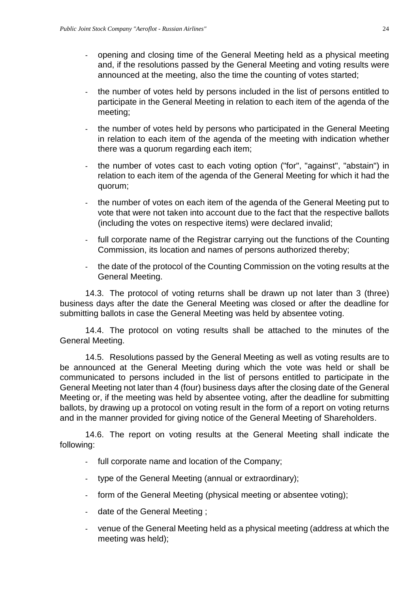- opening and closing time of the General Meeting held as a physical meeting and, if the resolutions passed by the General Meeting and voting results were announced at the meeting, also the time the counting of votes started;
- the number of votes held by persons included in the list of persons entitled to participate in the General Meeting in relation to each item of the agenda of the meeting;
- the number of votes held by persons who participated in the General Meeting in relation to each item of the agenda of the meeting with indication whether there was a quorum regarding each item;
- the number of votes cast to each voting option ("for", "against", "abstain") in relation to each item of the agenda of the General Meeting for which it had the quorum;
- the number of votes on each item of the agenda of the General Meeting put to vote that were not taken into account due to the fact that the respective ballots (including the votes on respective items) were declared invalid;
- full corporate name of the Registrar carrying out the functions of the Counting Commission, its location and names of persons authorized thereby;
- the date of the protocol of the Counting Commission on the voting results at the General Meeting.

14.3. The protocol of voting returns shall be drawn up not later than 3 (three) business days after the date the General Meeting was closed or after the deadline for submitting ballots in case the General Meeting was held by absentee voting.

14.4. The protocol on voting results shall be attached to the minutes of the General Meeting.

14.5. Resolutions passed by the General Meeting as well as voting results are to be announced at the General Meeting during which the vote was held or shall be communicated to persons included in the list of persons entitled to participate in the General Meeting not later than 4 (four) business days after the closing date of the General Meeting or, if the meeting was held by absentee voting, after the deadline for submitting ballots, by drawing up a protocol on voting result in the form of a report on voting returns and in the manner provided for giving notice of the General Meeting of Shareholders.

14.6. The report on voting results at the General Meeting shall indicate the following:

- full corporate name and location of the Company;
- type of the General Meeting (annual or extraordinary);
- form of the General Meeting (physical meeting or absentee voting);
- date of the General Meeting ;
- venue of the General Meeting held as a physical meeting (address at which the meeting was held);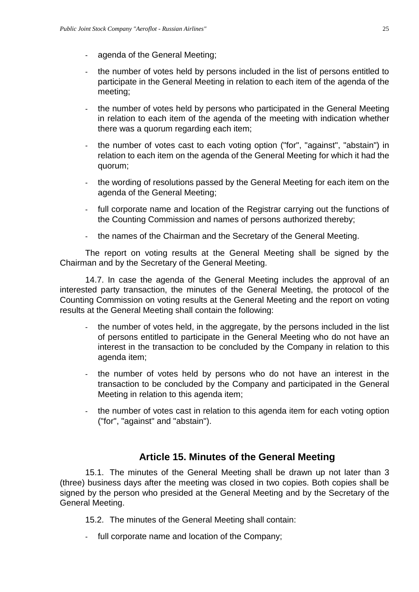- agenda of the General Meeting;
- the number of votes held by persons included in the list of persons entitled to participate in the General Meeting in relation to each item of the agenda of the meeting;
- the number of votes held by persons who participated in the General Meeting in relation to each item of the agenda of the meeting with indication whether there was a quorum regarding each item;
- the number of votes cast to each voting option ("for", "against", "abstain") in relation to each item on the agenda of the General Meeting for which it had the quorum;
- the wording of resolutions passed by the General Meeting for each item on the agenda of the General Meeting;
- full corporate name and location of the Registrar carrying out the functions of the Counting Commission and names of persons authorized thereby;
- the names of the Chairman and the Secretary of the General Meeting.

The report on voting results at the General Meeting shall be signed by the Chairman and by the Secretary of the General Meeting.

14.7. In case the agenda of the General Meeting includes the approval of an interested party transaction, the minutes of the General Meeting, the protocol of the Counting Commission on voting results at the General Meeting and the report on voting results at the General Meeting shall contain the following:

- the number of votes held, in the aggregate, by the persons included in the list of persons entitled to participate in the General Meeting who do not have an interest in the transaction to be concluded by the Company in relation to this agenda item;
- the number of votes held by persons who do not have an interest in the transaction to be concluded by the Company and participated in the General Meeting in relation to this agenda item;
- the number of votes cast in relation to this agenda item for each voting option ("for", "against" and "abstain").

### **Article 15. Minutes of the General Meeting**

<span id="page-24-0"></span>15.1. The minutes of the General Meeting shall be drawn up not later than 3 (three) business days after the meeting was closed in two copies. Both copies shall be signed by the person who presided at the General Meeting and by the Secretary of the General Meeting.

15.2. The minutes of the General Meeting shall contain:

- full corporate name and location of the Company;